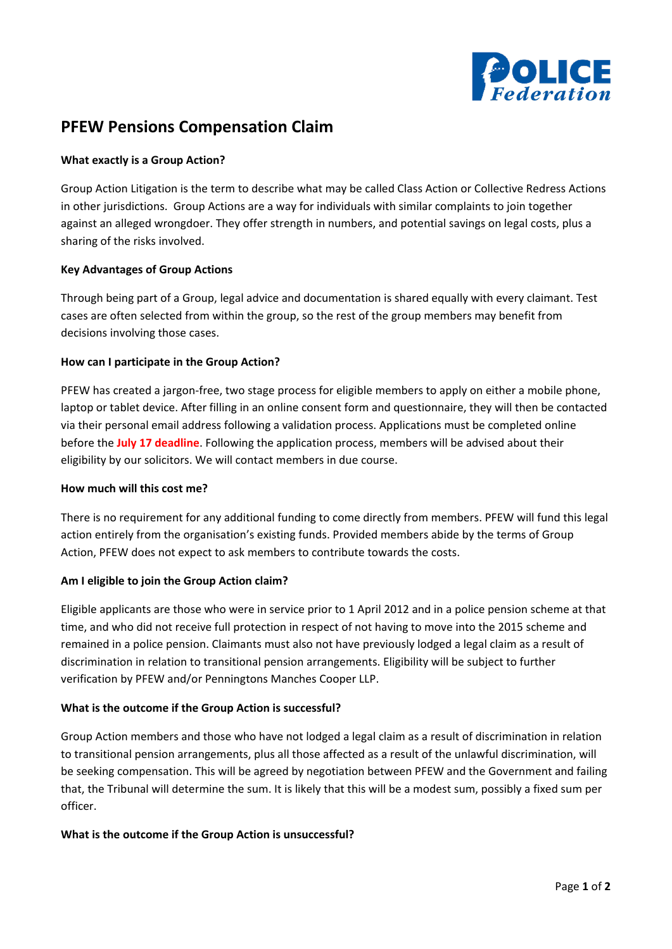

# **PFEW Pensions Compensation Claim**

## **What exactly is a Group Action?**

Group Action Litigation is the term to describe what may be called Class Action or Collective Redress Actions in other jurisdictions. Group Actions are a way for individuals with similar complaints to join together against an alleged wrongdoer. They offer strength in numbers, and potential savings on legal costs, plus a sharing of the risks involved.

## **Key Advantages of Group Actions**

Through being part of a Group, legal advice and documentation is shared equally with every claimant. Test cases are often selected from within the group, so the rest of the group members may benefit from decisions involving those cases.

## **How can I participate in the Group Action?**

PFEW has created a jargon-free, two stage process for eligible members to apply on either a mobile phone, laptop or tablet device. After filling in an online consent form and questionnaire, they will then be contacted via their personal email address following a validation process. Applications must be completed online before the **July 17 deadline**. Following the application process, members will be advised about their eligibility by our solicitors. We will contact members in due course.

## **How much will this cost me?**

There is no requirement for any additional funding to come directly from members. PFEW will fund this legal action entirely from the organisation's existing funds. Provided members abide by the terms of Group Action, PFEW does not expect to ask members to contribute towards the costs.

# **Am I eligible to join the Group Action claim?**

Eligible applicants are those who were in service prior to 1 April 2012 and in a police pension scheme at that time, and who did not receive full protection in respect of not having to move into the 2015 scheme and remained in a police pension. Claimants must also not have previously lodged a legal claim as a result of discrimination in relation to transitional pension arrangements. Eligibility will be subject to further verification by PFEW and/or Penningtons Manches Cooper LLP.

# **What is the outcome if the Group Action is successful?**

Group Action members and those who have not lodged a legal claim as a result of discrimination in relation to transitional pension arrangements, plus all those affected as a result of the unlawful discrimination, will be seeking compensation. This will be agreed by negotiation between PFEW and the Government and failing that, the Tribunal will determine the sum. It is likely that this will be a modest sum, possibly a fixed sum per officer.

# **What is the outcome if the Group Action is unsuccessful?**